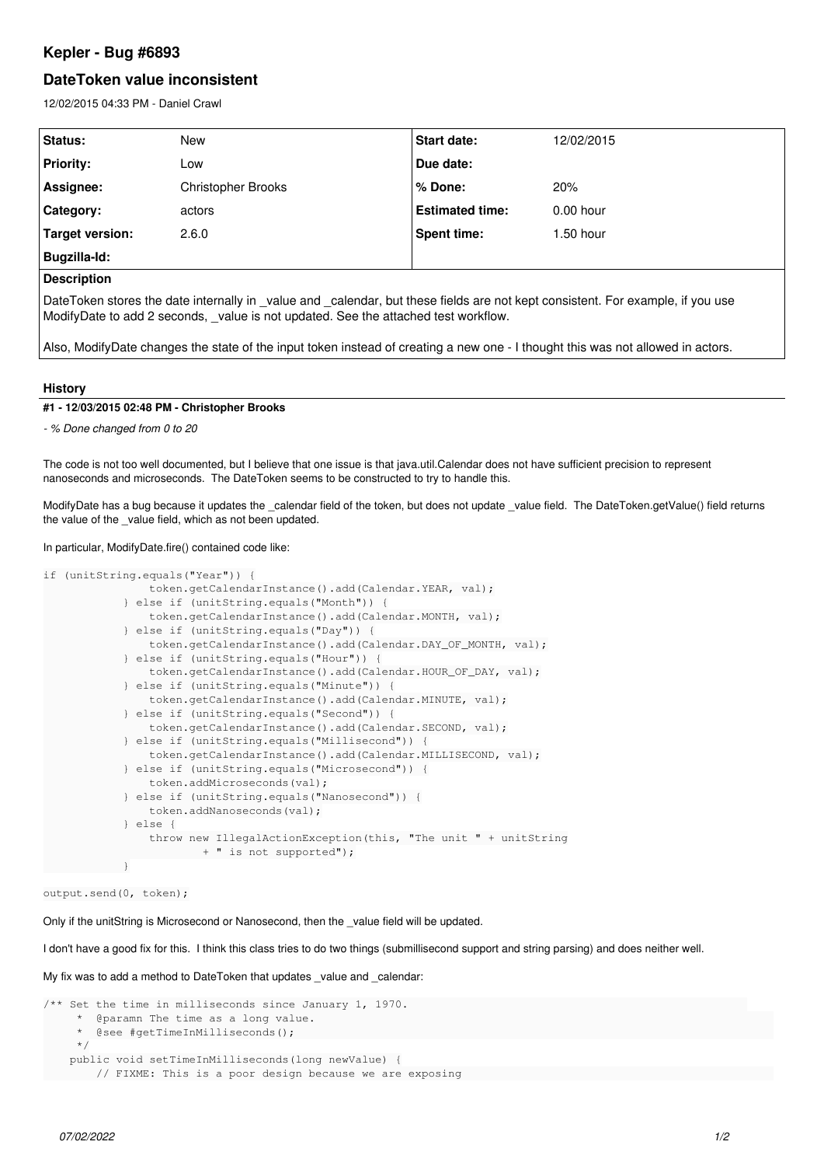# **Kepler - Bug #6893**

# **DateToken value inconsistent**

12/02/2015 04:33 PM - Daniel Crawl

| Status:            | New                | <b>Start date:</b>     | 12/02/2015  |
|--------------------|--------------------|------------------------|-------------|
| <b>Priority:</b>   | Low                | Due date:              |             |
| Assignee:          | Christopher Brooks | % Done:                | 20%         |
| <b>Category:</b>   | actors             | <b>Estimated time:</b> | $0.00$ hour |
| Target version:    | 2.6.0              | <b>Spent time:</b>     | $1.50$ hour |
| Bugzilla-Id:       |                    |                        |             |
| <b>Description</b> |                    |                        |             |

DateToken stores the date internally in \_value and \_calendar, but these fields are not kept consistent. For example, if you use ModifyDate to add 2 seconds, \_value is not updated. See the attached test workflow.

Also, ModifyDate changes the state of the input token instead of creating a new one - I thought this was not allowed in actors.

### **History**

#### **#1 - 12/03/2015 02:48 PM - Christopher Brooks**

*- % Done changed from 0 to 20*

The code is not too well documented, but I believe that one issue is that java.util.Calendar does not have sufficient precision to represent nanoseconds and microseconds. The DateToken seems to be constructed to try to handle this.

ModifyDate has a bug because it updates the \_calendar field of the token, but does not update \_value field. The DateToken.getValue() field returns the value of the value field, which as not been updated.

#### In particular, ModifyDate.fire() contained code like:

```
if (unitString.equals("Year")) {
                                     token.getCalendarInstance().add(Calendar.YEAR, val);
                            } else if (unitString.equals("Month")) {
                                     token.getCalendarInstance().add(Calendar.MONTH, val);
                            } else if (unitString.equals("Day")) {
                                     token.getCalendarInstance().add(Calendar.DAY_OF_MONTH, val);
                            } else if (unitString.equals("Hour")) {
                                     token.getCalendarInstance().add(Calendar.HOUR_OF_DAY, val);
                            } else if (unitString.equals("Minute")) {
                                     token.getCalendarInstance().add(Calendar.MINUTE, val);
                            } else if (unitString.equals("Second")) {
                                    token.getCalendarInstance().add(Calendar.SECOND, val);
                            } else if (unitString.equals("Millisecond")) {
                                     token.getCalendarInstance().add(Calendar.MILLISECOND, val);
                            } else if (unitString.equals("Microsecond")) {
                                    token.addMicroseconds(val);
                            } else if (unitString.equals("Nanosecond")) {
                                     token.addNanoseconds(val);
                            } else {
                                    throw new IllegalActionException(this, "The unit " + unitString
                                                     + " is not supported");
            }
```
output.send(0, token);

Only if the unitString is Microsecond or Nanosecond, then the \_value field will be updated.

I don't have a good fix for this. I think this class tries to do two things (submillisecond support and string parsing) and does neither well.

My fix was to add a method to DateToken that updates value and calendar:

```
/** Set the time in milliseconds since January 1, 1970.                                                   
          @paramn The time as a long value.
          @see #getTimeInMillisecons():
            */
         public void setTimeInMilliseconds(long newValue) {
                   // FIXME: This is a poor design because we are exposing
```